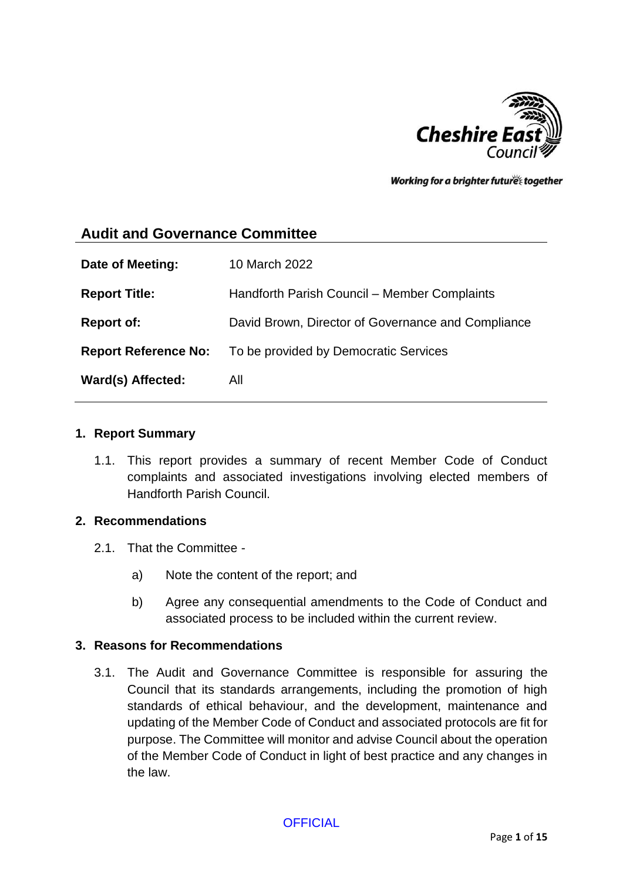

Working for a brighter futures together

## **Audit and Governance Committee**

| Date of Meeting:            | 10 March 2022                                      |
|-----------------------------|----------------------------------------------------|
| <b>Report Title:</b>        | Handforth Parish Council - Member Complaints       |
| <b>Report of:</b>           | David Brown, Director of Governance and Compliance |
| <b>Report Reference No:</b> | To be provided by Democratic Services              |
| Ward(s) Affected:           | All                                                |

#### **1. Report Summary**

1.1. This report provides a summary of recent Member Code of Conduct complaints and associated investigations involving elected members of Handforth Parish Council.

#### **2. Recommendations**

- 2.1. That the Committee
	- a) Note the content of the report; and
	- b) Agree any consequential amendments to the Code of Conduct and associated process to be included within the current review.

#### **3. Reasons for Recommendations**

3.1. The Audit and Governance Committee is responsible for assuring the Council that its standards arrangements, including the promotion of high standards of ethical behaviour, and the development, maintenance and updating of the Member Code of Conduct and associated protocols are fit for purpose. The Committee will monitor and advise Council about the operation of the Member Code of Conduct in light of best practice and any changes in the law.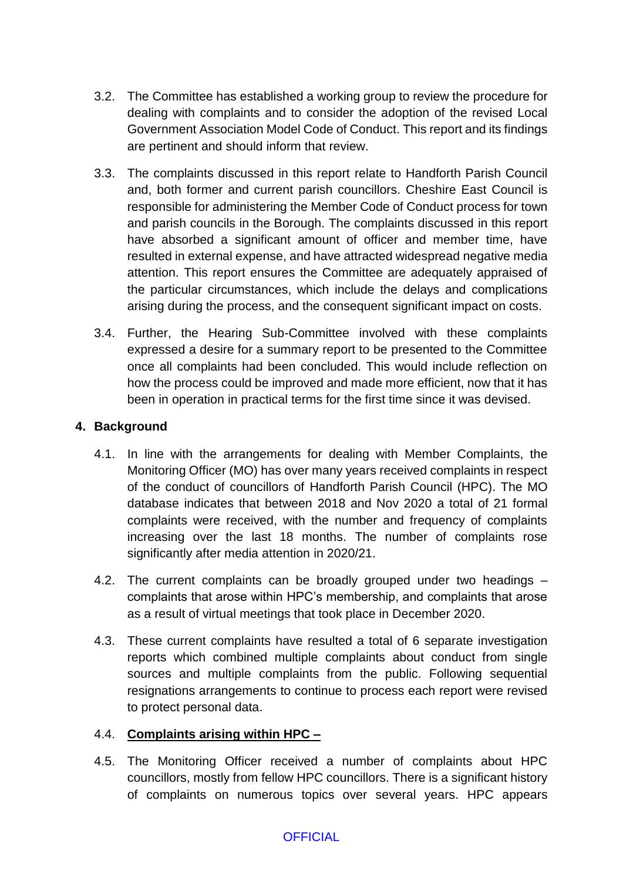- 3.2. The Committee has established a working group to review the procedure for dealing with complaints and to consider the adoption of the revised Local Government Association Model Code of Conduct. This report and its findings are pertinent and should inform that review.
- 3.3. The complaints discussed in this report relate to Handforth Parish Council and, both former and current parish councillors. Cheshire East Council is responsible for administering the Member Code of Conduct process for town and parish councils in the Borough. The complaints discussed in this report have absorbed a significant amount of officer and member time, have resulted in external expense, and have attracted widespread negative media attention. This report ensures the Committee are adequately appraised of the particular circumstances, which include the delays and complications arising during the process, and the consequent significant impact on costs.
- 3.4. Further, the Hearing Sub-Committee involved with these complaints expressed a desire for a summary report to be presented to the Committee once all complaints had been concluded. This would include reflection on how the process could be improved and made more efficient, now that it has been in operation in practical terms for the first time since it was devised.

## **4. Background**

- 4.1. In line with the arrangements for dealing with Member Complaints, the Monitoring Officer (MO) has over many years received complaints in respect of the conduct of councillors of Handforth Parish Council (HPC). The MO database indicates that between 2018 and Nov 2020 a total of 21 formal complaints were received, with the number and frequency of complaints increasing over the last 18 months. The number of complaints rose significantly after media attention in 2020/21.
- 4.2. The current complaints can be broadly grouped under two headings complaints that arose within HPC's membership, and complaints that arose as a result of virtual meetings that took place in December 2020.
- 4.3. These current complaints have resulted a total of 6 separate investigation reports which combined multiple complaints about conduct from single sources and multiple complaints from the public. Following sequential resignations arrangements to continue to process each report were revised to protect personal data.

## 4.4. **Complaints arising within HPC –**

4.5. The Monitoring Officer received a number of complaints about HPC councillors, mostly from fellow HPC councillors. There is a significant history of complaints on numerous topics over several years. HPC appears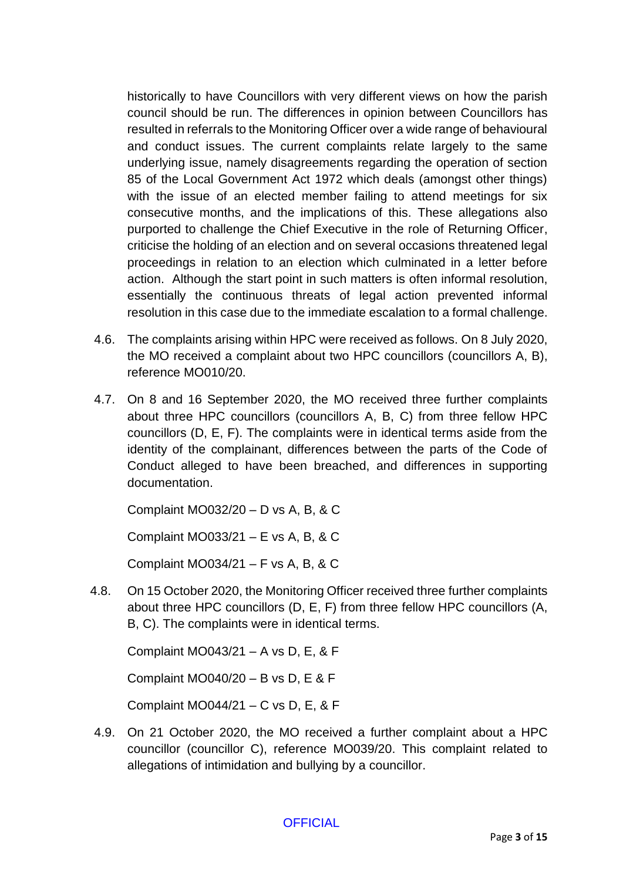historically to have Councillors with very different views on how the parish council should be run. The differences in opinion between Councillors has resulted in referrals to the Monitoring Officer over a wide range of behavioural and conduct issues. The current complaints relate largely to the same underlying issue, namely disagreements regarding the operation of section 85 of the Local Government Act 1972 which deals (amongst other things) with the issue of an elected member failing to attend meetings for six consecutive months, and the implications of this. These allegations also purported to challenge the Chief Executive in the role of Returning Officer, criticise the holding of an election and on several occasions threatened legal proceedings in relation to an election which culminated in a letter before action. Although the start point in such matters is often informal resolution, essentially the continuous threats of legal action prevented informal resolution in this case due to the immediate escalation to a formal challenge.

- 4.6. The complaints arising within HPC were received as follows. On 8 July 2020, the MO received a complaint about two HPC councillors (councillors A, B), reference MO010/20.
- 4.7. On 8 and 16 September 2020, the MO received three further complaints about three HPC councillors (councillors A, B, C) from three fellow HPC councillors (D, E, F). The complaints were in identical terms aside from the identity of the complainant, differences between the parts of the Code of Conduct alleged to have been breached, and differences in supporting documentation.

Complaint MO032/20 – D vs A, B, & C

Complaint MO033/21 – E vs A, B, & C

Complaint MO034/21 – F vs A, B, & C

4.8. On 15 October 2020, the Monitoring Officer received three further complaints about three HPC councillors (D, E, F) from three fellow HPC councillors (A, B, C). The complaints were in identical terms.

Complaint MO043/21 – A vs D, E, & F

Complaint MO040/20 – B vs D, E & F

Complaint MO044/21 – C vs D, E, & F

4.9. On 21 October 2020, the MO received a further complaint about a HPC councillor (councillor C), reference MO039/20. This complaint related to allegations of intimidation and bullying by a councillor.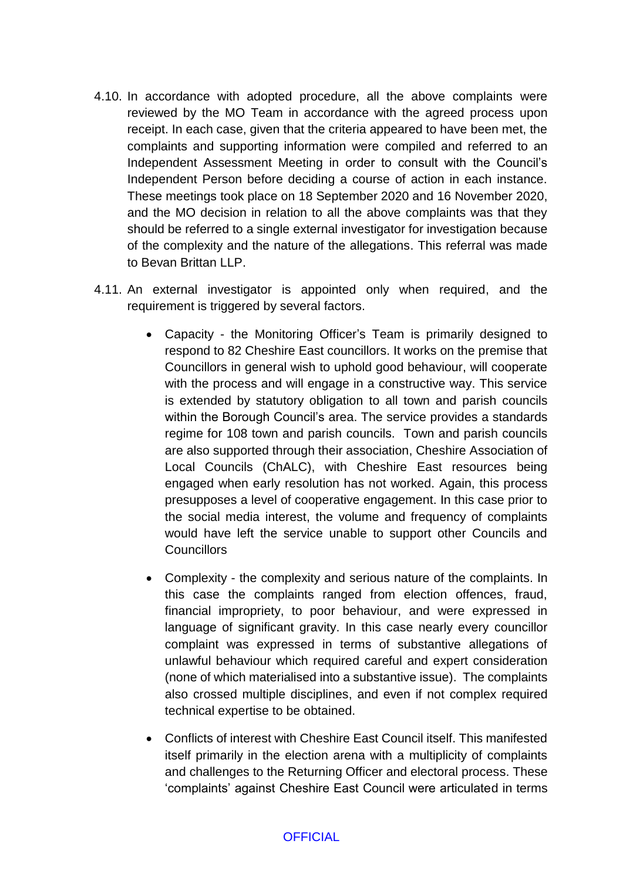- 4.10. In accordance with adopted procedure, all the above complaints were reviewed by the MO Team in accordance with the agreed process upon receipt. In each case, given that the criteria appeared to have been met, the complaints and supporting information were compiled and referred to an Independent Assessment Meeting in order to consult with the Council's Independent Person before deciding a course of action in each instance. These meetings took place on 18 September 2020 and 16 November 2020, and the MO decision in relation to all the above complaints was that they should be referred to a single external investigator for investigation because of the complexity and the nature of the allegations. This referral was made to Bevan Brittan LLP.
- 4.11. An external investigator is appointed only when required, and the requirement is triggered by several factors.
	- Capacity the Monitoring Officer's Team is primarily designed to respond to 82 Cheshire East councillors. It works on the premise that Councillors in general wish to uphold good behaviour, will cooperate with the process and will engage in a constructive way. This service is extended by statutory obligation to all town and parish councils within the Borough Council's area. The service provides a standards regime for 108 town and parish councils. Town and parish councils are also supported through their association, Cheshire Association of Local Councils (ChALC), with Cheshire East resources being engaged when early resolution has not worked. Again, this process presupposes a level of cooperative engagement. In this case prior to the social media interest, the volume and frequency of complaints would have left the service unable to support other Councils and **Councillors**
	- Complexity the complexity and serious nature of the complaints. In this case the complaints ranged from election offences, fraud, financial impropriety, to poor behaviour, and were expressed in language of significant gravity. In this case nearly every councillor complaint was expressed in terms of substantive allegations of unlawful behaviour which required careful and expert consideration (none of which materialised into a substantive issue). The complaints also crossed multiple disciplines, and even if not complex required technical expertise to be obtained.
	- Conflicts of interest with Cheshire East Council itself. This manifested itself primarily in the election arena with a multiplicity of complaints and challenges to the Returning Officer and electoral process. These 'complaints' against Cheshire East Council were articulated in terms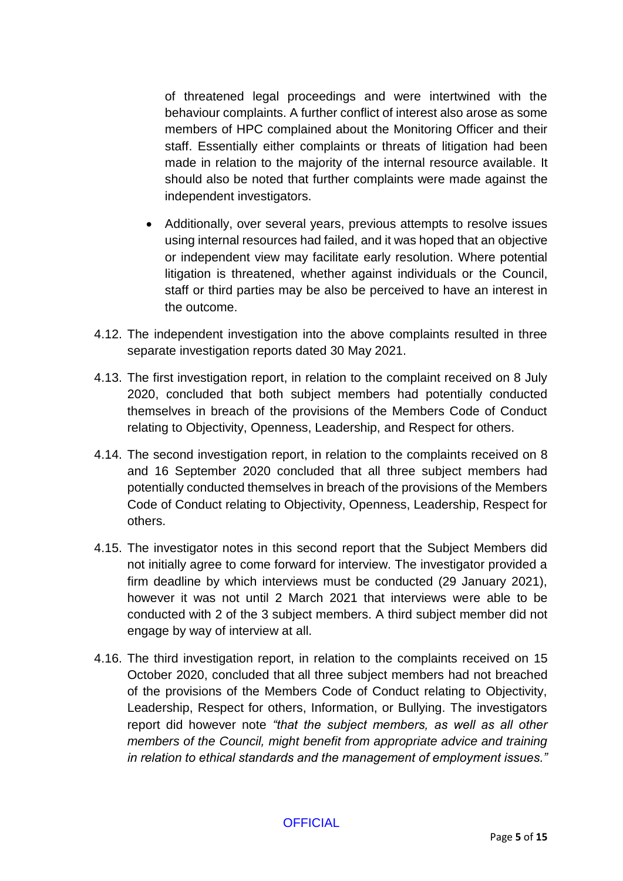of threatened legal proceedings and were intertwined with the behaviour complaints. A further conflict of interest also arose as some members of HPC complained about the Monitoring Officer and their staff. Essentially either complaints or threats of litigation had been made in relation to the majority of the internal resource available. It should also be noted that further complaints were made against the independent investigators.

- Additionally, over several years, previous attempts to resolve issues using internal resources had failed, and it was hoped that an objective or independent view may facilitate early resolution. Where potential litigation is threatened, whether against individuals or the Council, staff or third parties may be also be perceived to have an interest in the outcome.
- 4.12. The independent investigation into the above complaints resulted in three separate investigation reports dated 30 May 2021.
- 4.13. The first investigation report, in relation to the complaint received on 8 July 2020, concluded that both subject members had potentially conducted themselves in breach of the provisions of the Members Code of Conduct relating to Objectivity, Openness, Leadership, and Respect for others.
- 4.14. The second investigation report, in relation to the complaints received on 8 and 16 September 2020 concluded that all three subject members had potentially conducted themselves in breach of the provisions of the Members Code of Conduct relating to Objectivity, Openness, Leadership, Respect for others.
- 4.15. The investigator notes in this second report that the Subject Members did not initially agree to come forward for interview. The investigator provided a firm deadline by which interviews must be conducted (29 January 2021), however it was not until 2 March 2021 that interviews were able to be conducted with 2 of the 3 subject members. A third subject member did not engage by way of interview at all.
- 4.16. The third investigation report, in relation to the complaints received on 15 October 2020, concluded that all three subject members had not breached of the provisions of the Members Code of Conduct relating to Objectivity, Leadership, Respect for others, Information, or Bullying. The investigators report did however note *"that the subject members, as well as all other members of the Council, might benefit from appropriate advice and training in relation to ethical standards and the management of employment issues."*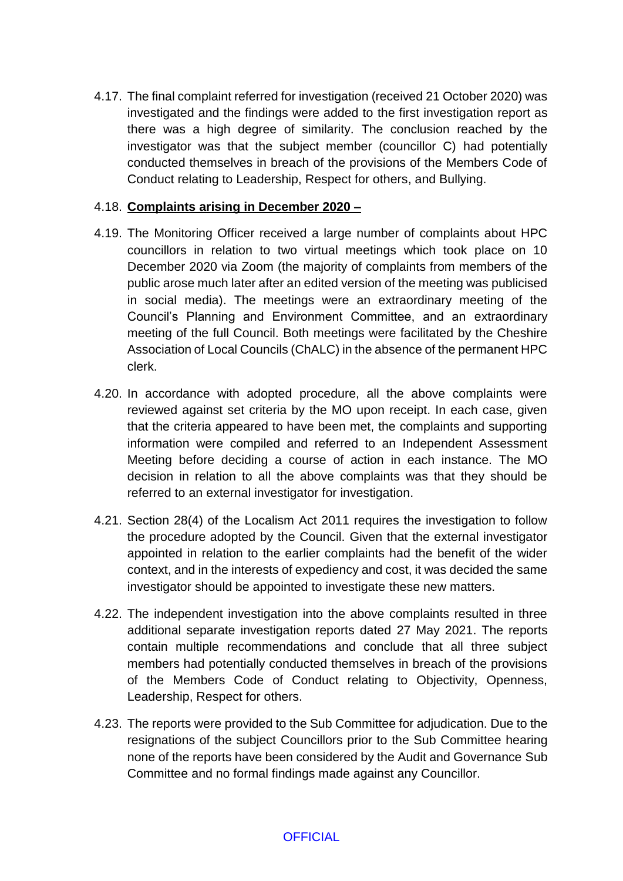4.17. The final complaint referred for investigation (received 21 October 2020) was investigated and the findings were added to the first investigation report as there was a high degree of similarity. The conclusion reached by the investigator was that the subject member (councillor C) had potentially conducted themselves in breach of the provisions of the Members Code of Conduct relating to Leadership, Respect for others, and Bullying.

## 4.18. **Complaints arising in December 2020 –**

- 4.19. The Monitoring Officer received a large number of complaints about HPC councillors in relation to two virtual meetings which took place on 10 December 2020 via Zoom (the majority of complaints from members of the public arose much later after an edited version of the meeting was publicised in social media). The meetings were an extraordinary meeting of the Council's Planning and Environment Committee, and an extraordinary meeting of the full Council. Both meetings were facilitated by the Cheshire Association of Local Councils (ChALC) in the absence of the permanent HPC clerk.
- 4.20. In accordance with adopted procedure, all the above complaints were reviewed against set criteria by the MO upon receipt. In each case, given that the criteria appeared to have been met, the complaints and supporting information were compiled and referred to an Independent Assessment Meeting before deciding a course of action in each instance. The MO decision in relation to all the above complaints was that they should be referred to an external investigator for investigation.
- 4.21. Section 28(4) of the Localism Act 2011 requires the investigation to follow the procedure adopted by the Council. Given that the external investigator appointed in relation to the earlier complaints had the benefit of the wider context, and in the interests of expediency and cost, it was decided the same investigator should be appointed to investigate these new matters.
- 4.22. The independent investigation into the above complaints resulted in three additional separate investigation reports dated 27 May 2021. The reports contain multiple recommendations and conclude that all three subject members had potentially conducted themselves in breach of the provisions of the Members Code of Conduct relating to Objectivity, Openness, Leadership, Respect for others.
- 4.23. The reports were provided to the Sub Committee for adjudication. Due to the resignations of the subject Councillors prior to the Sub Committee hearing none of the reports have been considered by the Audit and Governance Sub Committee and no formal findings made against any Councillor.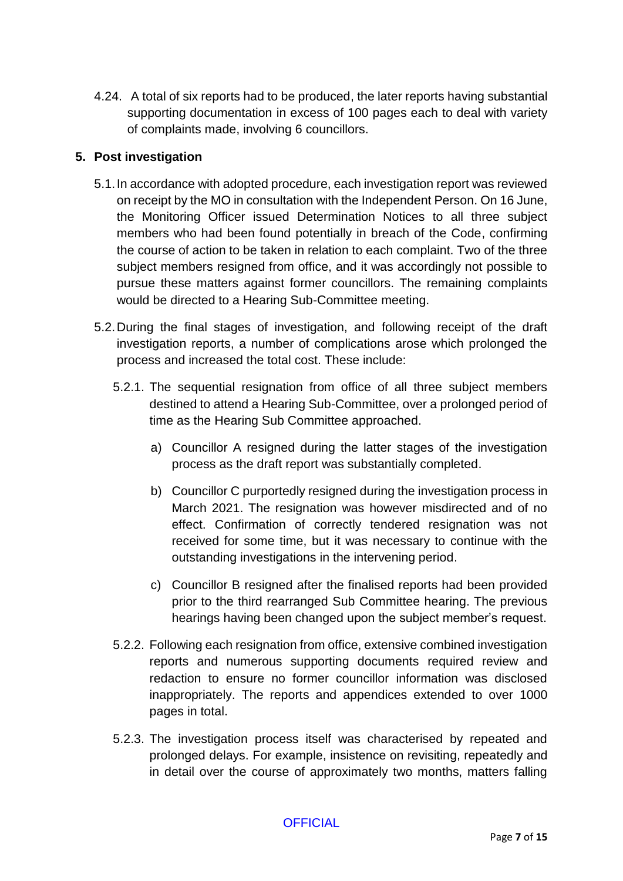4.24. A total of six reports had to be produced, the later reports having substantial supporting documentation in excess of 100 pages each to deal with variety of complaints made, involving 6 councillors.

## **5. Post investigation**

- 5.1.In accordance with adopted procedure, each investigation report was reviewed on receipt by the MO in consultation with the Independent Person. On 16 June, the Monitoring Officer issued Determination Notices to all three subject members who had been found potentially in breach of the Code, confirming the course of action to be taken in relation to each complaint. Two of the three subject members resigned from office, and it was accordingly not possible to pursue these matters against former councillors. The remaining complaints would be directed to a Hearing Sub-Committee meeting.
- 5.2.During the final stages of investigation, and following receipt of the draft investigation reports, a number of complications arose which prolonged the process and increased the total cost. These include:
	- 5.2.1. The sequential resignation from office of all three subject members destined to attend a Hearing Sub-Committee, over a prolonged period of time as the Hearing Sub Committee approached.
		- a) Councillor A resigned during the latter stages of the investigation process as the draft report was substantially completed.
		- b) Councillor C purportedly resigned during the investigation process in March 2021. The resignation was however misdirected and of no effect. Confirmation of correctly tendered resignation was not received for some time, but it was necessary to continue with the outstanding investigations in the intervening period.
		- c) Councillor B resigned after the finalised reports had been provided prior to the third rearranged Sub Committee hearing. The previous hearings having been changed upon the subject member's request.
	- 5.2.2. Following each resignation from office, extensive combined investigation reports and numerous supporting documents required review and redaction to ensure no former councillor information was disclosed inappropriately. The reports and appendices extended to over 1000 pages in total.
	- 5.2.3. The investigation process itself was characterised by repeated and prolonged delays. For example, insistence on revisiting, repeatedly and in detail over the course of approximately two months, matters falling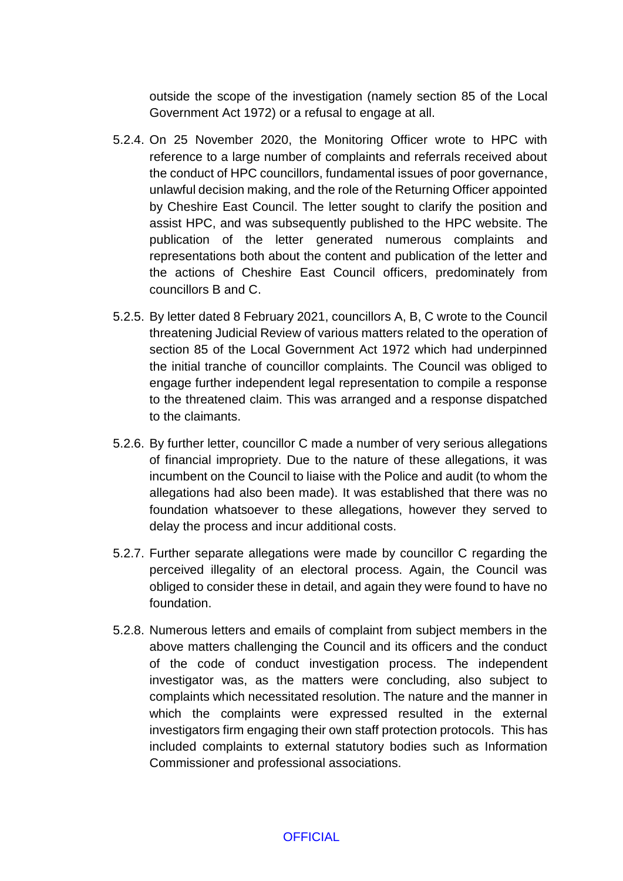outside the scope of the investigation (namely section 85 of the Local Government Act 1972) or a refusal to engage at all.

- 5.2.4. On 25 November 2020, the Monitoring Officer wrote to HPC with reference to a large number of complaints and referrals received about the conduct of HPC councillors, fundamental issues of poor governance, unlawful decision making, and the role of the Returning Officer appointed by Cheshire East Council. The letter sought to clarify the position and assist HPC, and was subsequently published to the HPC website. The publication of the letter generated numerous complaints and representations both about the content and publication of the letter and the actions of Cheshire East Council officers, predominately from councillors B and C.
- 5.2.5. By letter dated 8 February 2021, councillors A, B, C wrote to the Council threatening Judicial Review of various matters related to the operation of section 85 of the Local Government Act 1972 which had underpinned the initial tranche of councillor complaints. The Council was obliged to engage further independent legal representation to compile a response to the threatened claim. This was arranged and a response dispatched to the claimants.
- 5.2.6. By further letter, councillor C made a number of very serious allegations of financial impropriety. Due to the nature of these allegations, it was incumbent on the Council to liaise with the Police and audit (to whom the allegations had also been made). It was established that there was no foundation whatsoever to these allegations, however they served to delay the process and incur additional costs.
- 5.2.7. Further separate allegations were made by councillor C regarding the perceived illegality of an electoral process. Again, the Council was obliged to consider these in detail, and again they were found to have no foundation.
- 5.2.8. Numerous letters and emails of complaint from subject members in the above matters challenging the Council and its officers and the conduct of the code of conduct investigation process. The independent investigator was, as the matters were concluding, also subject to complaints which necessitated resolution. The nature and the manner in which the complaints were expressed resulted in the external investigators firm engaging their own staff protection protocols. This has included complaints to external statutory bodies such as Information Commissioner and professional associations.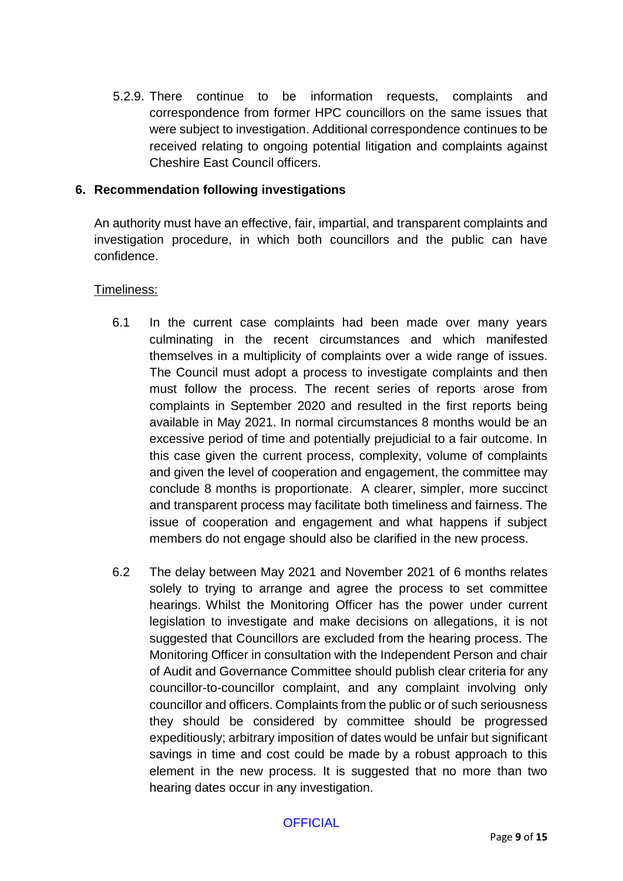5.2.9. There continue to be information requests, complaints and correspondence from former HPC councillors on the same issues that were subject to investigation. Additional correspondence continues to be received relating to ongoing potential litigation and complaints against Cheshire East Council officers.

#### **6. Recommendation following investigations**

An authority must have an effective, fair, impartial, and transparent complaints and investigation procedure, in which both councillors and the public can have confidence.

#### Timeliness:

- 6.1 In the current case complaints had been made over many years culminating in the recent circumstances and which manifested themselves in a multiplicity of complaints over a wide range of issues. The Council must adopt a process to investigate complaints and then must follow the process. The recent series of reports arose from complaints in September 2020 and resulted in the first reports being available in May 2021. In normal circumstances 8 months would be an excessive period of time and potentially prejudicial to a fair outcome. In this case given the current process, complexity, volume of complaints and given the level of cooperation and engagement, the committee may conclude 8 months is proportionate. A clearer, simpler, more succinct and transparent process may facilitate both timeliness and fairness. The issue of cooperation and engagement and what happens if subject members do not engage should also be clarified in the new process.
- 6.2 The delay between May 2021 and November 2021 of 6 months relates solely to trying to arrange and agree the process to set committee hearings. Whilst the Monitoring Officer has the power under current legislation to investigate and make decisions on allegations, it is not suggested that Councillors are excluded from the hearing process. The Monitoring Officer in consultation with the Independent Person and chair of Audit and Governance Committee should publish clear criteria for any councillor-to-councillor complaint, and any complaint involving only councillor and officers. Complaints from the public or of such seriousness they should be considered by committee should be progressed expeditiously; arbitrary imposition of dates would be unfair but significant savings in time and cost could be made by a robust approach to this element in the new process. It is suggested that no more than two hearing dates occur in any investigation.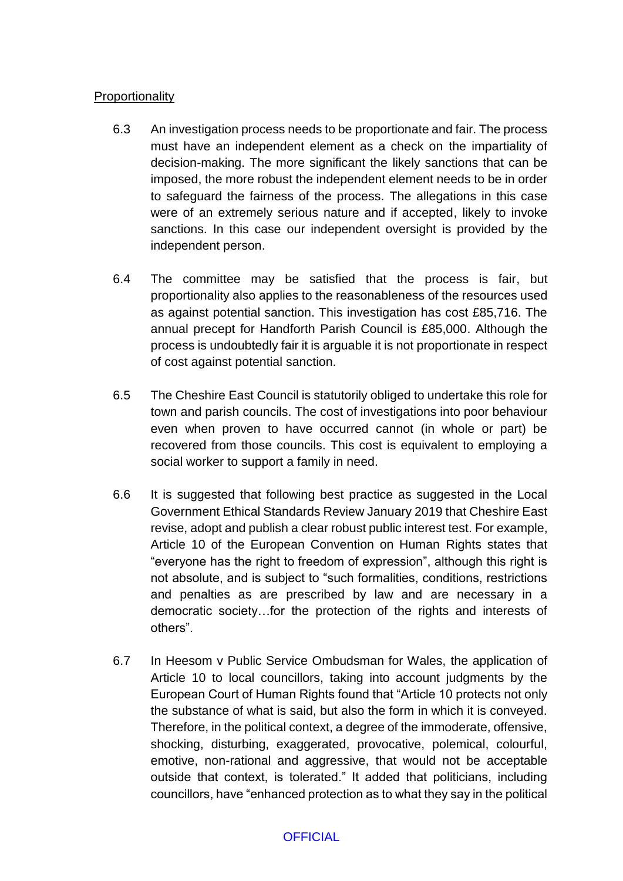### **Proportionality**

- 6.3 An investigation process needs to be proportionate and fair. The process must have an independent element as a check on the impartiality of decision-making. The more significant the likely sanctions that can be imposed, the more robust the independent element needs to be in order to safeguard the fairness of the process. The allegations in this case were of an extremely serious nature and if accepted, likely to invoke sanctions. In this case our independent oversight is provided by the independent person.
- 6.4 The committee may be satisfied that the process is fair, but proportionality also applies to the reasonableness of the resources used as against potential sanction. This investigation has cost £85,716. The annual precept for Handforth Parish Council is £85,000. Although the process is undoubtedly fair it is arguable it is not proportionate in respect of cost against potential sanction.
- 6.5 The Cheshire East Council is statutorily obliged to undertake this role for town and parish councils. The cost of investigations into poor behaviour even when proven to have occurred cannot (in whole or part) be recovered from those councils. This cost is equivalent to employing a social worker to support a family in need.
- 6.6 It is suggested that following best practice as suggested in the Local Government Ethical Standards Review January 2019 that Cheshire East revise, adopt and publish a clear robust public interest test. For example, Article 10 of the European Convention on Human Rights states that "everyone has the right to freedom of expression", although this right is not absolute, and is subject to "such formalities, conditions, restrictions and penalties as are prescribed by law and are necessary in a democratic society…for the protection of the rights and interests of others".
- 6.7 In Heesom v Public Service Ombudsman for Wales, the application of Article 10 to local councillors, taking into account judgments by the European Court of Human Rights found that "Article 10 protects not only the substance of what is said, but also the form in which it is conveyed. Therefore, in the political context, a degree of the immoderate, offensive, shocking, disturbing, exaggerated, provocative, polemical, colourful, emotive, non-rational and aggressive, that would not be acceptable outside that context, is tolerated." It added that politicians, including councillors, have "enhanced protection as to what they say in the political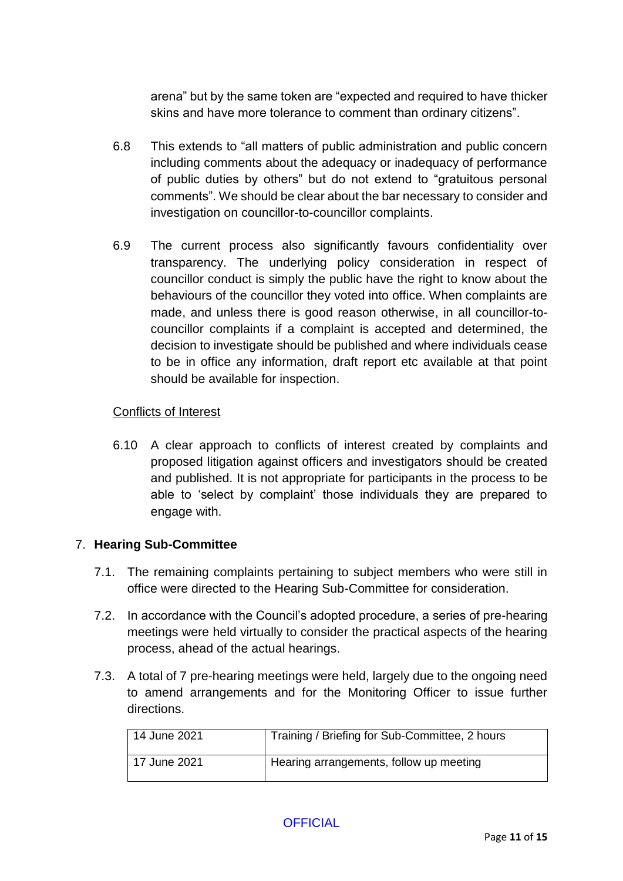arena" but by the same token are "expected and required to have thicker skins and have more tolerance to comment than ordinary citizens".

- 6.8 This extends to "all matters of public administration and public concern including comments about the adequacy or inadequacy of performance of public duties by others" but do not extend to "gratuitous personal comments". We should be clear about the bar necessary to consider and investigation on councillor-to-councillor complaints.
- 6.9 The current process also significantly favours confidentiality over transparency. The underlying policy consideration in respect of councillor conduct is simply the public have the right to know about the behaviours of the councillor they voted into office. When complaints are made, and unless there is good reason otherwise, in all councillor-tocouncillor complaints if a complaint is accepted and determined, the decision to investigate should be published and where individuals cease to be in office any information, draft report etc available at that point should be available for inspection.

## Conflicts of Interest

6.10 A clear approach to conflicts of interest created by complaints and proposed litigation against officers and investigators should be created and published. It is not appropriate for participants in the process to be able to 'select by complaint' those individuals they are prepared to engage with.

#### 7. **Hearing Sub-Committee**

- 7.1. The remaining complaints pertaining to subject members who were still in office were directed to the Hearing Sub-Committee for consideration.
- 7.2. In accordance with the Council's adopted procedure, a series of pre-hearing meetings were held virtually to consider the practical aspects of the hearing process, ahead of the actual hearings.
- 7.3. A total of 7 pre-hearing meetings were held, largely due to the ongoing need to amend arrangements and for the Monitoring Officer to issue further directions.

| 14 June 2021 | Training / Briefing for Sub-Committee, 2 hours |
|--------------|------------------------------------------------|
| 17 June 2021 | Hearing arrangements, follow up meeting        |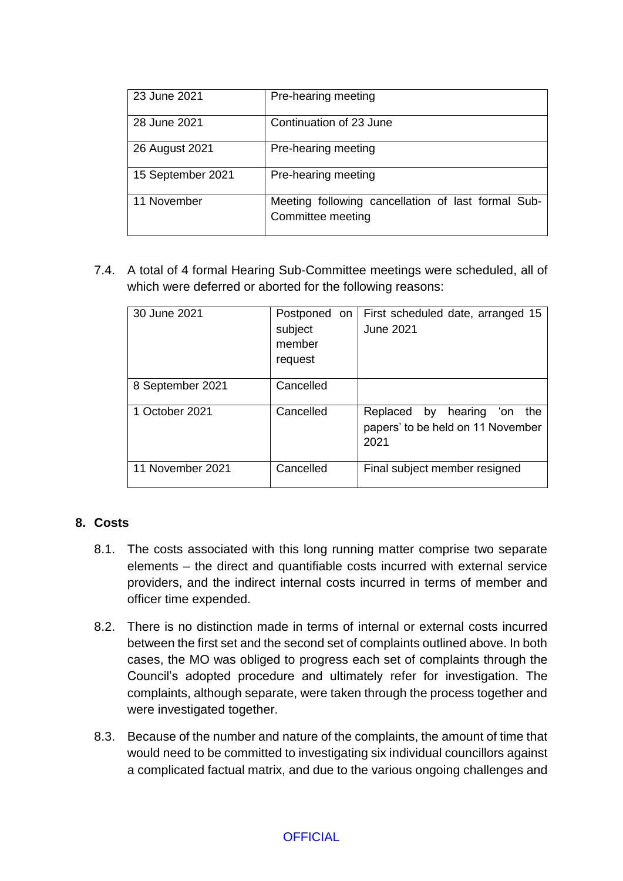| 23 June 2021      | Pre-hearing meeting                                                     |
|-------------------|-------------------------------------------------------------------------|
| 28 June 2021      | Continuation of 23 June                                                 |
| 26 August 2021    | Pre-hearing meeting                                                     |
| 15 September 2021 | Pre-hearing meeting                                                     |
| 11 November       | Meeting following cancellation of last formal Sub-<br>Committee meeting |

7.4. A total of 4 formal Hearing Sub-Committee meetings were scheduled, all of which were deferred or aborted for the following reasons:

| 30 June 2021     | Postponed on<br>subject<br>member<br>request | First scheduled date, arranged 15<br><b>June 2021</b>                             |
|------------------|----------------------------------------------|-----------------------------------------------------------------------------------|
| 8 September 2021 | Cancelled                                    |                                                                                   |
| 1 October 2021   | Cancelled                                    | Replaced<br>by hearing<br>ʻon<br>the<br>papers' to be held on 11 November<br>2021 |
| 11 November 2021 | Cancelled                                    | Final subject member resigned                                                     |

## **8. Costs**

- 8.1. The costs associated with this long running matter comprise two separate elements – the direct and quantifiable costs incurred with external service providers, and the indirect internal costs incurred in terms of member and officer time expended.
- 8.2. There is no distinction made in terms of internal or external costs incurred between the first set and the second set of complaints outlined above. In both cases, the MO was obliged to progress each set of complaints through the Council's adopted procedure and ultimately refer for investigation. The complaints, although separate, were taken through the process together and were investigated together.
- 8.3. Because of the number and nature of the complaints, the amount of time that would need to be committed to investigating six individual councillors against a complicated factual matrix, and due to the various ongoing challenges and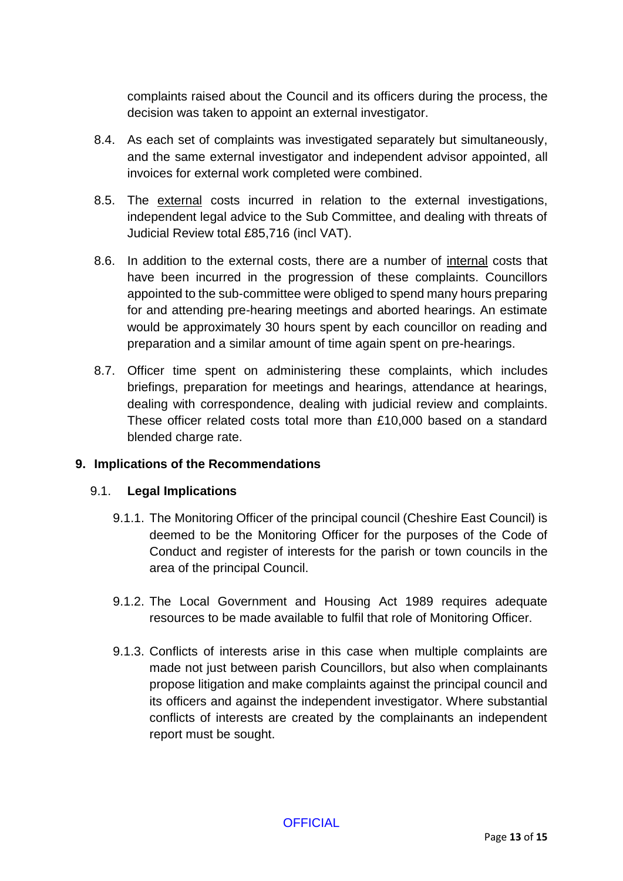complaints raised about the Council and its officers during the process, the decision was taken to appoint an external investigator.

- 8.4. As each set of complaints was investigated separately but simultaneously, and the same external investigator and independent advisor appointed, all invoices for external work completed were combined.
- 8.5. The external costs incurred in relation to the external investigations, independent legal advice to the Sub Committee, and dealing with threats of Judicial Review total £85,716 (incl VAT).
- 8.6. In addition to the external costs, there are a number of internal costs that have been incurred in the progression of these complaints. Councillors appointed to the sub-committee were obliged to spend many hours preparing for and attending pre-hearing meetings and aborted hearings. An estimate would be approximately 30 hours spent by each councillor on reading and preparation and a similar amount of time again spent on pre-hearings.
- 8.7. Officer time spent on administering these complaints, which includes briefings, preparation for meetings and hearings, attendance at hearings, dealing with correspondence, dealing with judicial review and complaints. These officer related costs total more than £10,000 based on a standard blended charge rate.

## **9. Implications of the Recommendations**

#### 9.1. **Legal Implications**

- 9.1.1. The Monitoring Officer of the principal council (Cheshire East Council) is deemed to be the Monitoring Officer for the purposes of the Code of Conduct and register of interests for the parish or town councils in the area of the principal Council.
- 9.1.2. The Local Government and Housing Act 1989 requires adequate resources to be made available to fulfil that role of Monitoring Officer.
- 9.1.3. Conflicts of interests arise in this case when multiple complaints are made not just between parish Councillors, but also when complainants propose litigation and make complaints against the principal council and its officers and against the independent investigator. Where substantial conflicts of interests are created by the complainants an independent report must be sought.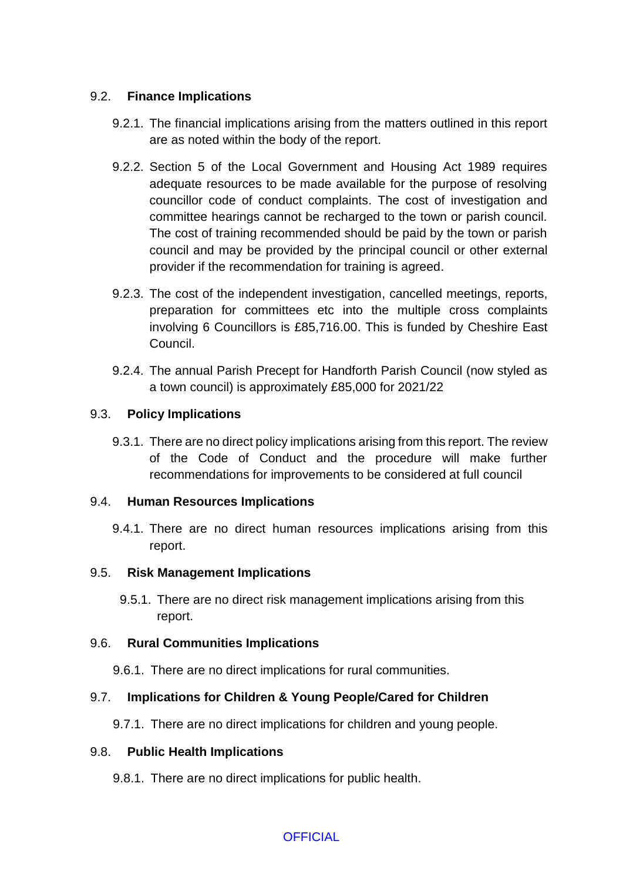## 9.2. **Finance Implications**

- 9.2.1. The financial implications arising from the matters outlined in this report are as noted within the body of the report.
- 9.2.2. Section 5 of the Local Government and Housing Act 1989 requires adequate resources to be made available for the purpose of resolving councillor code of conduct complaints. The cost of investigation and committee hearings cannot be recharged to the town or parish council. The cost of training recommended should be paid by the town or parish council and may be provided by the principal council or other external provider if the recommendation for training is agreed.
- 9.2.3. The cost of the independent investigation, cancelled meetings, reports, preparation for committees etc into the multiple cross complaints involving 6 Councillors is £85,716.00. This is funded by Cheshire East Council.
- 9.2.4. The annual Parish Precept for Handforth Parish Council (now styled as a town council) is approximately £85,000 for 2021/22

### 9.3. **Policy Implications**

9.3.1. There are no direct policy implications arising from this report. The review of the Code of Conduct and the procedure will make further recommendations for improvements to be considered at full council

#### 9.4. **Human Resources Implications**

9.4.1. There are no direct human resources implications arising from this report.

#### 9.5. **Risk Management Implications**

9.5.1. There are no direct risk management implications arising from this report.

#### 9.6. **Rural Communities Implications**

9.6.1. There are no direct implications for rural communities.

## 9.7. **Implications for Children & Young People/Cared for Children**

9.7.1. There are no direct implications for children and young people.

#### 9.8. **Public Health Implications**

9.8.1. There are no direct implications for public health.